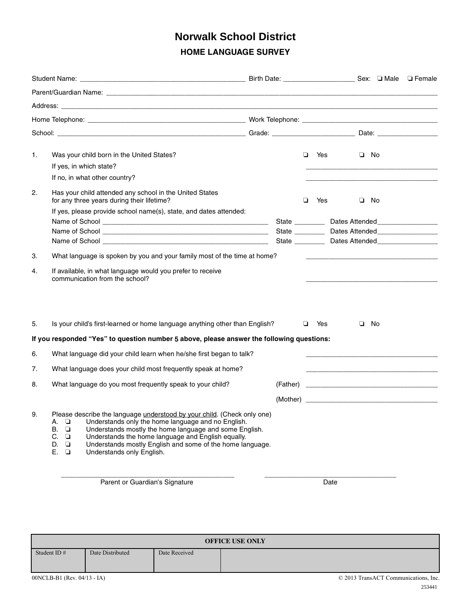## **HOME LANGUAGE SURVEY Norwalk School District**

| 1.             |                            |                                           | Was your child born in the United States?<br>If yes, in which state?<br>If no, in what other country?                                                                                                                                                                                                                                                  |  |  | $\Box$ | Yes |      | $\Box$       | - No |  |
|----------------|----------------------------|-------------------------------------------|--------------------------------------------------------------------------------------------------------------------------------------------------------------------------------------------------------------------------------------------------------------------------------------------------------------------------------------------------------|--|--|--------|-----|------|--------------|------|--|
| 2.<br>З.<br>4. |                            |                                           | Has your child attended any school in the United States<br>for any three years during their lifetime?<br>If yes, please provide school name(s), state, and dates attended:<br>What language is spoken by you and your family most of the time at home?<br>If available, in what language would you prefer to receive<br>communication from the school? |  |  | □      | Yes |      | $\Box$<br>No |      |  |
| 5.             |                            |                                           | Is your child's first-learned or home language anything other than English?<br>If you responded "Yes" to question number 5 above, please answer the following questions:                                                                                                                                                                               |  |  | ▫      | Yes |      | ▫            | No   |  |
| 6.             |                            |                                           | What language did your child learn when he/she first began to talk?                                                                                                                                                                                                                                                                                    |  |  |        |     |      |              |      |  |
| 7.             |                            |                                           | What language does your child most frequently speak at home?                                                                                                                                                                                                                                                                                           |  |  |        |     |      |              |      |  |
| 8.             |                            |                                           | What language do you most frequently speak to your child?                                                                                                                                                                                                                                                                                              |  |  |        |     |      |              |      |  |
| 9.             | А.<br>В.<br>C.<br>D.<br>Е. | □<br>$\Box$<br>$\Box$<br>$\Box$<br>$\Box$ | Please describe the language understood by your child. (Check only one)<br>Understands only the home language and no English.<br>Understands mostly the home language and some English.<br>Understands the home language and English equally.<br>Understands mostly English and some of the home language.<br>Understands only English.                |  |  |        |     |      |              |      |  |
|                |                            |                                           | Parent or Guardian's Signature                                                                                                                                                                                                                                                                                                                         |  |  |        |     | Date |              |      |  |

00NCLB-B1 (Rev. 04/13 - IA) © 2013 TransACT Communications, Inc. **OFFICE USE ONLY** Student ID # Date Distributed Date Received